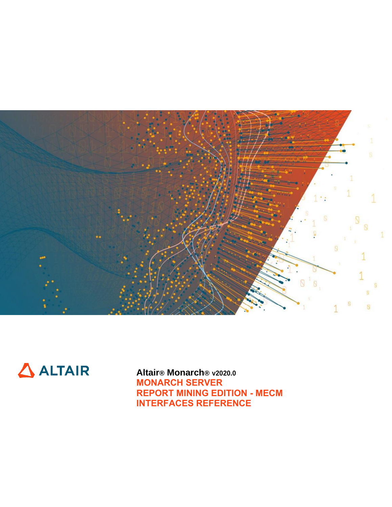



**Altair® Monarch® v2020.0 MONARCH SERVER REPORT MINING EDITION - MECM INTERFACES REFERENCE**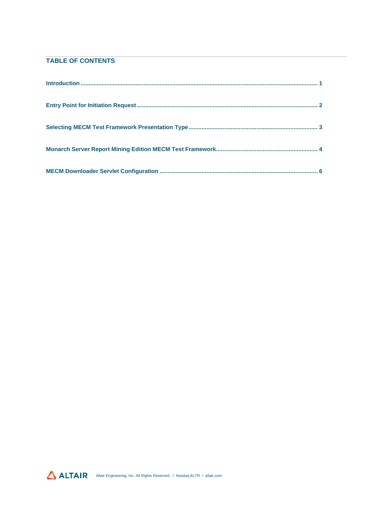## **TABLE OF CONTENTS**

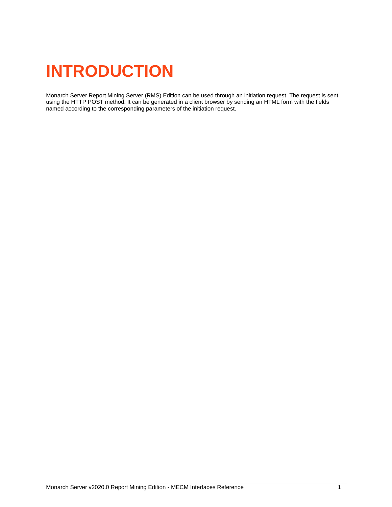# <span id="page-2-0"></span>**INTRODUCTION**

Monarch Server Report Mining Server (RMS) Edition can be used through an initiation request. The request is sent using the HTTP POST method. It can be generated in a client browser by sending an HTML form with the fields named according to the corresponding parameters of the initiation request.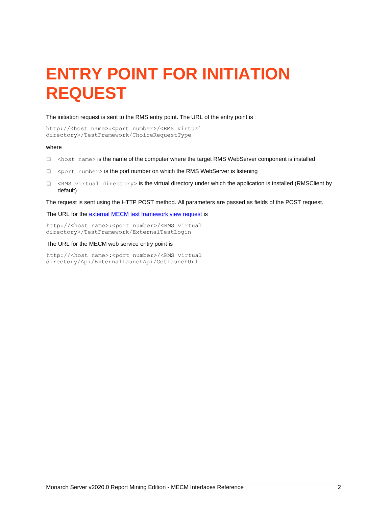# <span id="page-3-0"></span>**ENTRY POINT FOR INITIATION REQUEST**

### The initiation request is sent to the RMS entry point. The URL of the entry point is

```
http://<host name>:<port number>/<RMS virtual
directory>/TestFramework/ChoiceRequestType
```
#### where

- $\Box$  <host name> is the name of the computer where the target RMS WebServer component is installed
- □ <port number> is the port number on which the RMS WebServer is listening
- $\Box$  <RMS virtual directory> is the virtual directory under which the application is installed (RMSClient by default)

The request is sent using the HTTP POST method. All parameters are passed as fields of the POST request.

The URL for the [external MECM test framework view request](#page-5-0) is

http://<host name>:<port number>/<RMS virtual directory>/TestFramework/ExternalTestLogin

### The URL for the MECM web service entry point is

http://<host name>:<port number>/<RMS virtual directory/Api/ExternalLaunchApi/GetLaunchUrl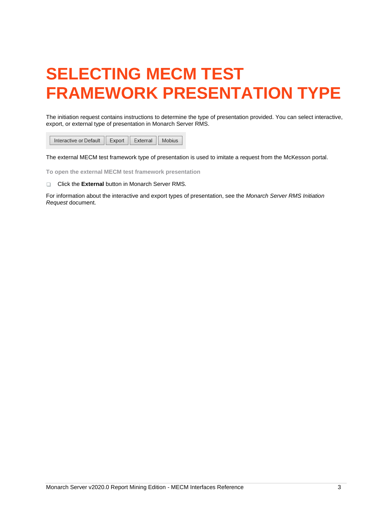# <span id="page-4-0"></span>**SELECTING MECM TEST FRAMEWORK PRESENTATION TYPE**

The initiation request contains instructions to determine the type of presentation provided. You can select interactive, export, or external type of presentation in Monarch Server RMS.

Interactive or Default Export External Mobius

The external MECM test framework type of presentation is used to imitate a request from the McKesson portal.

**To open the external MECM test framework presentation**

**Click the External button in Monarch Server RMS.** 

For information about the interactive and export types of presentation, see the *Monarch Server RMS Initiation Request* document.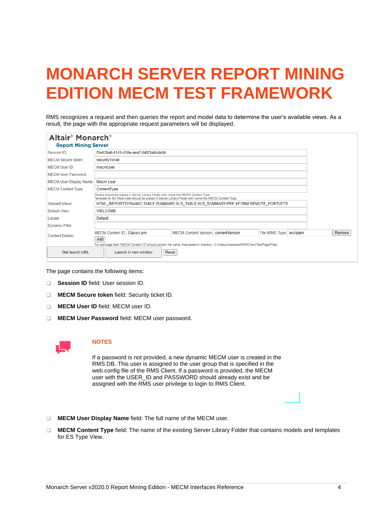# <span id="page-5-0"></span>**MONARCH SERVER REPORT MINING EDITION MECM TEST FRAMEWORK**

RMS recognizes a request and then queries the report and model data to determine the user's available views. As a result, the page with the appropriate request parameters will be displayed.

| Altair <sup>®</sup> Monarch <sup>®</sup><br><b>Report Mining Server</b> |                                                                                   |                      |                                                                                                                                                                                              |                |                            |  |        |  |  |
|-------------------------------------------------------------------------|-----------------------------------------------------------------------------------|----------------------|----------------------------------------------------------------------------------------------------------------------------------------------------------------------------------------------|----------------|----------------------------|--|--------|--|--|
| Session ID:                                                             | f3e626a6-61c5-430e-aea7-840f3a9cda94                                              |                      |                                                                                                                                                                                              |                |                            |  |        |  |  |
| MECM Secure token:                                                      | securityTicket                                                                    |                      |                                                                                                                                                                                              |                |                            |  |        |  |  |
| MFCM User ID:                                                           | mecmUser                                                                          |                      |                                                                                                                                                                                              |                |                            |  |        |  |  |
| MECM User Password:                                                     |                                                                                   |                      |                                                                                                                                                                                              |                |                            |  |        |  |  |
| MECM User Display Name:                                                 | Mecm User                                                                         |                      |                                                                                                                                                                                              |                |                            |  |        |  |  |
| <b>MECM Content Type:</b>                                               | ContentType                                                                       |                      |                                                                                                                                                                                              |                |                            |  |        |  |  |
|                                                                         |                                                                                   |                      | Models should be placed in Server Library Folder with name like MECM Content Type.<br>Template for ES Style View should be placed in Server Library Folder with name like MECM Content Type. |                |                            |  |        |  |  |
| Allowed Views:                                                          | HTML REPORT;DYNAMIC;TABLE;SUMMARY;XLS TABLE;XLS SUMMARY;PRF;XFORM;REMOTE PORTLETS |                      |                                                                                                                                                                                              |                |                            |  |        |  |  |
| Default View:                                                           | <b>WELCOME</b>                                                                    |                      |                                                                                                                                                                                              |                |                            |  |        |  |  |
| Locale:                                                                 | <b>Default</b>                                                                    |                      |                                                                                                                                                                                              |                |                            |  |        |  |  |
| Dynamic Filter:                                                         |                                                                                   |                      |                                                                                                                                                                                              |                |                            |  |        |  |  |
| <b>Content Details:</b>                                                 | <b>MECM Content ID:</b>                                                           | Classic.prn          | <b>MECM Content Version:</b>                                                                                                                                                                 | contentVersion | File MIME Type: text/plain |  | Remove |  |  |
|                                                                         | Add                                                                               |                      |                                                                                                                                                                                              |                |                            |  |        |  |  |
|                                                                         |                                                                                   |                      | For test page field "MECM Content ID" should contain file name, that placed in directory: C:\Inetpub\wwwroot\RMSClient\TestPage\Files\                                                       |                |                            |  |        |  |  |
| Get launch URL                                                          |                                                                                   | Launch in new window | Reset                                                                                                                                                                                        |                |                            |  |        |  |  |
|                                                                         |                                                                                   |                      |                                                                                                                                                                                              |                |                            |  |        |  |  |

The page contains the following items:

- **Session ID** field: User session ID.
- **MECM Secure token field: Security ticket ID.**
- **MECM User ID field: MECM user ID.**
- **MECM User Password field: MECM user password.**



## **NOTES**

If a password is not provided, a new dynamic MECM user is created in the RMS DB. This user is assigned to the user group that is specified in the web.config file of the RMS Client. If a password is provided, the MECM user with the USER\_ID and PASSWORD should already exist and be assigned with the RMS user privilege to login to RMS Client.

- **MECM User Display Name** field: The full name of the MECM user.
- **MECM Content Type** field: The name of the existing Server Library Folder that contains models and templates for ES Type View.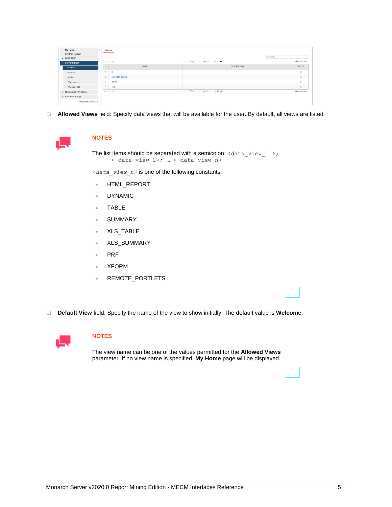| <b>My Home</b>                     |        | Folders                   |                             |          |                     |
|------------------------------------|--------|---------------------------|-----------------------------|----------|---------------------|
| <b>Content System</b><br>Automator |        |                           |                             | D Search |                     |
| - Server Library                   |        | $+$ / $\times$            | in an Page 1 of 1 >> > 20 ₩ |          | View 1 - 4 of 4     |
| <b>Folders</b>                     |        | NAME $\hat{=}$            | <b>DESCRIPTION</b>          |          | <b>DELETE</b>       |
| Projects                           |        | 3                         |                             |          | $\propto$           |
| Models                             | $\sim$ | <b>Automator Tutorial</b> |                             |          | $\boldsymbol{\chi}$ |
| Workspaces                         | $\sim$ | default                   |                             |          | $\propto$           |
| <b>Change Lists</b>                |        | Test                      |                             |          | $\propto$           |
| Rights and Privileges              |        | $+ 7 x$                   |                             |          | View 1 - 4 of 4     |
| > System Settings                  |        |                           |                             |          |                     |
| Show advanced options              |        |                           |                             |          |                     |

**Allowed Views** field: Specify data views that will be available for the user. By default, all views are listed.



## **NOTES**

The list items should be separated with a semicolon:  $\text{data\_view\_1}$  >; < data\_view\_2>; … < data\_view\_n>

*<data\_view\_n>* is one of the following constants:

- HTML\_REPORT
- **DYNAMIC**
- TABLE
- **SUMMARY**
- XLS\_TABLE
- XLS\_SUMMARY
- PRF
- XFORM
- REMOTE\_PORTLETS

**Default View** field: Specify the name of the view to show initially. The default value is **Welcome**.



## **NOTES**

The view name can be one of the values permitted for the **Allowed Views** parameter. If no view name is specified, **My Home** page will be displayed.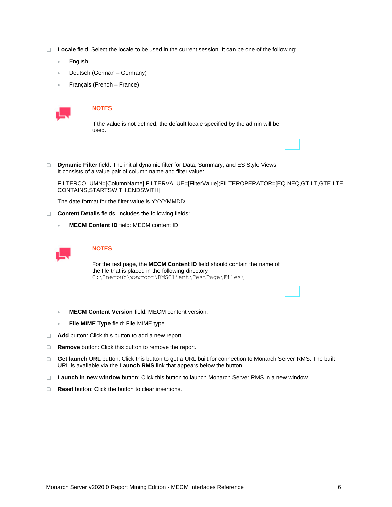- **Locale** field: Select the locale to be used in the current session. It can be one of the following:
	- **English**
	- Deutsch (German Germany)
	- Français (French France)



### **NOTES**

If the value is not defined, the default locale specified by the admin will be used.

**Dynamic Filter** field: The initial dynamic filter for Data, Summary, and ES Style Views. It consists of a value pair of column name and filter value:

FILTERCOLUMN=[ColumnName];FILTERVALUE=[FilterValue];FILTEROPERATOR=[EQ.NEQ,GT,LT,GTE,LTE, CONTAINS,STARTSWITH,ENDSWITH]

The date format for the filter value is YYYYMMDD.

- **Content Details** fields. Includes the following fields:
	- **MECM Content ID** field: MECM content ID.



### **NOTES**

For the test page, the **MECM Content ID** field should contain the name of the file that is placed in the following directory: C:\Inetpub\wwwroot\RMSClient\TestPage\Files\

- **MECM Content Version** field: MECM content version.
- **File MIME Type** field: File MIME type.
- **Add** button: Click this button to add a new report.
- **Remove** button: Click this button to remove the report.
- **Get launch URL** button: Click this button to get a URL built for connection to Monarch Server RMS. The built URL is available via the **Launch RMS** link that appears below the button.
- **Launch in new window** button: Click this button to launch Monarch Server RMS in a new window.
- □ **Reset** button: Click the button to clear insertions.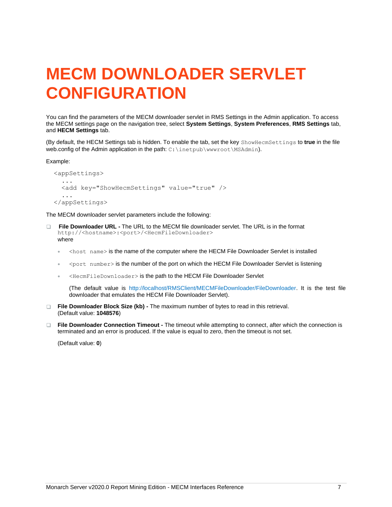## <span id="page-8-0"></span>**MECM DOWNLOADER SERVLET CONFIGURATION**

You can find the parameters of the MECM downloader servlet in RMS Settings in the Admin application. To access the MECM settings page on the navigation tree, select **System Settings**, **System Preferences**, **RMS Settings** tab, and **HECM Settings** tab.

(By default, the HECM Settings tab is hidden. To enable the tab, set the key ShowHecmSettings to **true** in the file web.config of the Admin application in the path: C: \inetpub\wwwroot\MSAdmin).

Example:

```
 <appSettings>
     ...
     <add key="ShowHecmSettings" value="true" />
 ...
  </appSettings>
```
The MECM downloader servlet parameters include the following:

- **File Downloader URL -** The URL to the MECM file downloader servlet. The URL is in the format  $\Box$ http://<hostname>:<port>/<HecmFileDownloader> where
	- <host name> is the name of the computer where the HECM File Downloader Servlet is installed
	- <port number> is the number of the port on which the HECM File Downloader Servlet is listening
	- <HecmFileDownloader> is the path to the HECM File Downloader Servlet

(The default value is http://localhost/RMSClient/MECMFileDownloader/FileDownloader. It is the test file downloader that emulates the HECM File Downloader Servlet).

- **File Downloader Block Size (kb) -** The maximum number of bytes to read in this retrieval. (Default value: **1048576**)
- **File Downloader Connection Timeout -** The timeout while attempting to connect, after which the connection is terminated and an error is produced. If the value is equal to zero, then the timeout is not set.

(Default value: **0**)